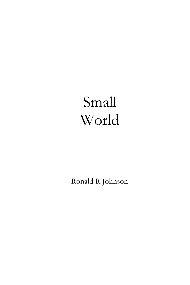# Small World

Ronald R Johnson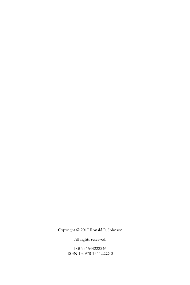Copyright © 2017 Ronald R. Johnson

All rights reserved.

ISBN: 1544222246 ISBN-13: 978-1544222240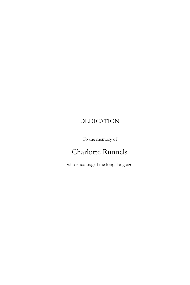# DEDICATION

To the memory of

# Charlotte Runnels

who encouraged me long, long ago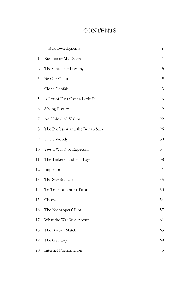# **CONTENTS**

|    | Acknowledgments                   | $\mathbf{i}$ |
|----|-----------------------------------|--------------|
| 1  | Rumors of My Death                | 1            |
| 2  | The One That Is Many              | 5            |
| 3  | Be Our Guest                      | 9            |
| 4  | Clone Confab                      | 13           |
| 5  | A Lot of Fuss Over a Little Pill  | 16           |
| 6  | Sibling Rivalry                   | 19           |
| 7  | An Uninvited Visitor              | 22           |
| 8  | The Professor and the Burlap Sack | 26           |
| 9  | Uncle Woody                       | 30           |
| 10 | This I Was Not Expecting          | 34           |
| 11 | The Tinkerer and His Toys         | 38           |
| 12 | Impostor                          | 41           |
| 13 | The Star Student                  | 45           |
| 14 | To Trust or Not to Trust          | 50           |
| 15 | Cheesy                            | 54           |
| 16 | The Kidnappers' Plot              | 57           |
| 17 | What the War Was About            | 61           |
| 18 | The Botball Match                 | 65           |
| 19 | The Getaway                       | 69           |
| 20 | Internet Phenomenon               | 73           |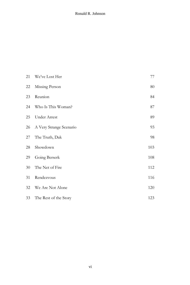#### Ronald R. Johnson

| 21 | We've Lost Her          | 77  |
|----|-------------------------|-----|
| 22 | Missing Person          | 80  |
| 23 | Reunion                 | 84  |
| 24 | Who Is This Woman?      | 87  |
| 25 | Under Arrest            | 89  |
| 26 | A Very Strange Scenario | 93  |
| 27 | The Truth, Dak          | 98  |
| 28 | Showdown                | 103 |
| 29 | Going Berserk           | 108 |
| 30 | The Net of Fire         | 112 |
| 31 | Rendezvous              | 116 |
| 32 | We Are Not Alone        | 120 |
| 33 | The Rest of the Story   | 123 |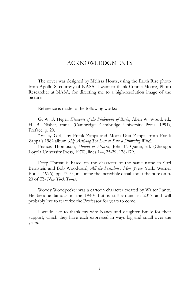#### ACKNOWLEDGMENTS

The cover was designed by Melissa Houtz, using the Earth Rise photo from Apollo 8, courtesy of NASA. I want to thank Connie Moore, Photo Researcher at NASA, for directing me to a high-resolution image of the picture.

Reference is made to the following works:

G. W. F. Hegel, *Elements of the Philosophy of Right*, Allen W. Wood, ed., H. B. Nisbet, trans. (Cambridge: Cambridge University Press, 1991), Preface, p. 20.

"Valley Girl," by Frank Zappa and Moon Unit Zappa, from Frank Zappa's 1982 album *Ship Arriving Too Late to Save a Drowning Witch.*

Francis Thompson, *Hound of Heaven*, John F. Quinn, ed. (Chicago: Loyola University Press, 1970), lines 1-4, 25-29, 178-179.

Deep Throat is based on the character of the same name in Carl Bernstein and Bob Woodward, *All the President's Men* (New York: Warner Books, 1976), pp. 73-75, including the incredible detail about the note on p. 20 of *The New York Times*.

Woody Woodpecker was a cartoon character created by Walter Lantz. He became famous in the 1940s but is still around in 2017 and will probably live to terrorize the Professor for years to come.

I would like to thank my wife Nancy and daughter Emily for their support, which they have each expressed in ways big and small over the years.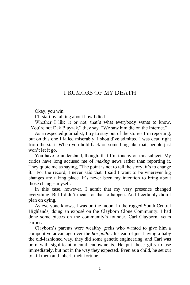#### 1 RUMORS OF MY DEATH

Okay, you win.

I'll start by talking about how I died.

Whether I like it or not, that's what everybody wants to know. "You're not Dak Blayzak," they say. "We saw him die on the Internet."

As a respected journalist, I try to stay out of the stories I'm reporting, but on this one I failed miserably. I should've admitted I was dead right from the start. When you hold back on something like that, people just won't let it go.

You have to understand, though, that I'm touchy on this subject. My critics have long accused me of *making* news rather than reporting it. They quote me as saying, "The point is not to tell the story; it's to change it." For the record, I never said that. I said I want to be wherever big changes are taking place. It's never been my intention to bring about those changes myself.

In this case, however, I admit that my very presence changed everything. But I didn't mean for that to happen. And I certainly didn't plan on dying.

As everyone knows, I was on the moon, in the rugged South Central Highlands, doing an exposé on the Clayborn Clone Community. I had done some pieces on the community's founder, Carl Clayborn, years earlier.

Clayborn's parents were wealthy geeks who wanted to give him a competitive advantage over the *hoi polloi*. Instead of just having a baby the old-fashioned way, they did some genetic engineering, and Carl was born with significant mental endowments. He put those gifts to use immediately, but not in the way they expected. Even as a child, he set out to kill them and inherit their fortune.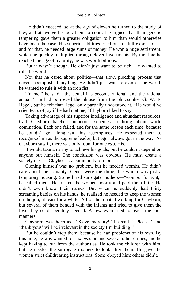He didn't succeed, so at the age of eleven he turned to the study of law, and at twelve he took them to court. He argued that their genetic tampering gave them a greater obligation to him than would otherwise have been the case. His superior abilities cried out for full expression and for that, he needed large sums of money. He won a huge settlement, which he quickly multiplied through clever investments. By the time he reached the age of maturity, he was worth billions.

But it wasn't enough. He didn't just want to be rich. He wanted to rule the world.

Not that he cared about politics—that slow, plodding process that never accomplished anything. He didn't just want to oversee the world; he wanted to rule it with an iron fist.

"In me," he said, "the actual has become rational, and the rational actual." He had borrowed the phrase from the philosopher G. W. F. Hegel, but he felt that Hegel only partially understood it. "He would've cried tears of joy if he had met me," Clayborn liked to say.

Taking advantage of his superior intelligence and abundant resources, Carl Clayborn hatched numerous schemes to bring about world domination. Each one failed, and for the same reason each time: because he couldn't get along with his accomplices. He expected them to recognize him as the supreme leader, but egos always got in the way. As Clayborn saw it, there was only room for one ego. His.

It would take an army to achieve his goals, but he couldn't depend on anyone but himself. The conclusion was obvious. He must create a society of Carl Clayborns: a community of clones.

Cloning himself was no problem, but he needed wombs. He didn't care about their quality. Genes were the thing; the womb was just a temporary housing. So he hired surrogate mothers—"wombs for rent," he called them. He treated the women poorly and paid them little. He didn't even know their names. But when he suddenly had thirty screaming babies on his hands, he realized he needed to keep the women on the job, at least for a while. All of them hated working for Clayborn, but several of them bonded with the infants and tried to give them the love they so desperately needed. A few even tried to teach the kids manners.

Clayborn was horrified. "Slave morality!" he said. "'Pleases' and 'thank yous' will be irrelevant in the society I'm building!"

But he couldn't stop them, because he had problems of his own. By this time, he was wanted for tax evasion and several other crimes, and he kept having to run from the authorities. He took the children with him, but he needed the surrogate mothers to look after them. He gave the women strict childrearing instructions. Some obeyed him; others didn't.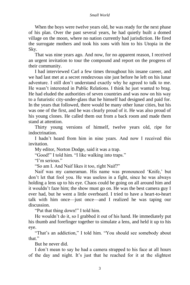When the boys were twelve years old, he was ready for the next phase of his plan. Over the past several years, he had quietly built a domed village on the moon, where no nation currently had jurisdiction. He fired the surrogate mothers and took his sons with him to his Utopia in the Sky.

That was nine years ago. And now, for no apparent reason, I received an urgent invitation to tour the compound and report on the progress of their community.

I had interviewed Carl a few times throughout his insane career, and we had last met at a secret rendezvous site just before he left on his lunar adventure. I still don't understand exactly why he agreed to talk to me. He wasn't interested in Public Relations. I think he just wanted to brag. He had eluded the authorities of seven countries and was now on his way to a futuristic city-under-glass that he himself had designed and paid for. In the years that followed, there would be many other lunar cities, but his was one of the first, and he was clearly proud of it. He was also proud of his young clones. He called them out from a back room and made them stand at attention.

Thirty young versions of himself, twelve years old, ripe for indoctrination.

I hadn't heard from him in nine years. And now I received this invitation.

My editor, Norton Dodge, said it was a trap.

"Good!" I told him. "I like walking into traps."

"I'm serious."

"So am I. And Naif likes it too, right Naif?"

Naif was my cameraman. His name was pronounced 'Knife,' but don't let that fool you. He was useless in a fight, since he was always holding a lens up to his eye. Chaos could be going on all around him and it wouldn't faze him; the show must go on. He was the best camera guy I ever had, but he went a little overboard. I tried to have a heart-to-heart talk with him once—just once—and I realized he was taping our discussion.

"Put that thing down!" I told him.

He wouldn't do it, so I grabbed it out of his hand. He immediately put his thumb and forefinger together to simulate a lens, and held it up to his eye.

"That's an addiction," I told him. "You should see somebody about that."

But he never did.

I don't mean to say he had a camera strapped to his face at all hours of the day and night. It's just that he reached for it at the slightest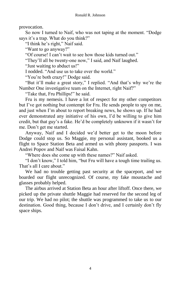provocation.

So now I turned to Naif, who was not taping at the moment. "Dodge says it's a trap. What do you think?"

"I think he's right," Naif said.

"Want to go anyway?"

"Of course! I can't wait to see how those kids turned out."

"They'll all be twenty-one now," I said, and Naif laughed.

"Just waiting to abduct us!"

I nodded. "And use us to take over the world."

"You're both crazy!" Dodge said.

"But it'll make a great story," I replied. "And that's why we're the Number One investigative team on the Internet, right Naif?"

"Take that, Fru Phillips!" he said.

Fru is my nemesis. I have a lot of respect for my other competitors but I've got nothing but contempt for Fru. He sends people to spy on me, and just when I'm about to report breaking news, he shows up. If he had ever demonstrated any initiative of his own, I'd be willing to give him credit, but that guy's a fake. He'd be completely unknown if it wasn't for me. Don't get me started.

Anyway, Naif and I decided we'd better get to the moon before Dodge could stop us. So Maggie, my personal assistant, booked us a flight to Space Station Beta and armed us with phony passports. I was Andrei Popov and Naif was Faisal Kahn.

"Where does she come up with these names?" Naif asked.

"I don't know," I told him, "but Fru will have a tough time trailing us. That's all I care about."

We had no trouble getting past security at the spaceport, and we boarded our flight unrecognized. Of course, my fake moustache and glasses probably helped.

The airbus arrived at Station Beta an hour after liftoff. Once there, we picked up the private shuttle Maggie had reserved for the second leg of our trip. We had no pilot; the shuttle was programmed to take us to our destination. Good thing, because I don't drive, and I certainly don't fly space ships.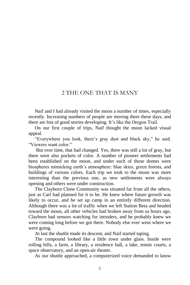#### 2 THE ONE THAT IS MANY

Naif and I had already visited the moon a number of times, especially recently. Increasing numbers of people are moving there these days, and there are lots of good stories developing. It's like the Oregon Trail.

On our first couple of trips, Naif thought the moon lacked visual appeal.

"Everywhere you look, there's gray dust and black sky," he said. "Viewers want color."

But over time, that had changed. Yes, there was still a lot of gray, but there were also pockets of color. A number of pioneer settlements had been established on the moon, and under each of those domes were biospheres mimicking earth's atmosphere: blue skies, green forests, and buildings of various colors. Each trip we took to the moon was more interesting than the previous one, as new settlements were always opening and others were under construction.

The Clayborn Clone Community was situated far from all the others, just as Carl had planned for it to be. He knew where future growth was likely to occur, and he set up camp in an entirely different direction. Although there was a lot of traffic when we left Station Beta and headed toward the moon, all other vehicles had broken away from us hours ago. Clayborn had sensors watching for intruders, and he probably knew we were coming long before we got there. Nobody else ever went where we were going.

At last the shuttle made its descent, and Naif started taping.

The compound looked like a little town under glass. Inside were rolling hills, a farm, a library, a residence hall, a lake, tennis courts, a space observatory, and an open-air theater.

As our shuttle approached, a computerized voice demanded to know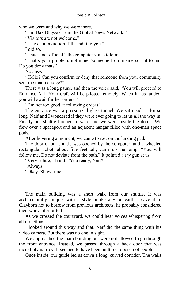who we were and why we were there.

"I'm Dak Blayzak from the Global News Network."

"Visitors are not welcome."

"I have an invitation. I'll send it to you."

I did so.

"This is not official," the computer voice told me.

"That's your problem, not mine. Someone from inside sent it to me. Do you deny that?"

No answer.

"Hello? Can you confirm or deny that someone from your community sent me that message?"

There was a long pause, and then the voice said, "You will proceed to Entrance A-1. Your craft will be piloted remotely. When it has landed, you will await further orders."

"I'm not too good at following orders."

The entrance was a pressurized glass tunnel. We sat inside it for so long, Naif and I wondered if they were ever going to let us all the way in. Finally our shuttle lurched forward and we were inside the dome. We flew over a spaceport and an adjacent hangar filled with one-man space pods.

After hovering a moment, we came to rest on the landing pad.

The door of our shuttle was opened by the computer, and a wheeled rectangular robot, about five feet tall, came up the ramp. "You will follow me. Do not deviate from the path." It pointed a ray gun at us.

"Very subtle," I said. "You ready, Naif?"

"Always."

"Okay. Show time."

The main building was a short walk from our shuttle. It was architecturally unique, with a style unlike any on earth. Leave it to Clayborn not to borrow from previous architects; he probably considered their work inferior to his.

As we crossed the courtyard, we could hear voices whispering from all directions.

I looked around this way and that. Naif did the same thing with his video camera. But there was no one in sight.

We approached the main building but were not allowed to go through the front entrance. Instead, we passed through a back door that was incredibly narrow. It seemed to have been built for robots, not people.

Once inside, our guide led us down a long, curved corridor. The walls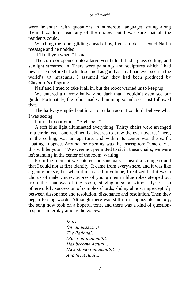were lavender, with quotations in numerous languages strung along them. I couldn't read any of the quotes, but I was sure that all the residents could.

Watching the robot gliding ahead of us, I got an idea. I texted Naif a message and he nodded.

"I'll tell you when," I said.

The corridor opened onto a large vestibule. It had a glass ceiling, and sunlight streamed in. There were paintings and sculptures which I had never seen before but which seemed as good as any I had ever seen in the world's art museums. I assumed that they had been produced by Clayborn's offspring.

Naif and I tried to take it all in, but the robot warned us to keep up.

We entered a narrow hallway so dark that I couldn't even see our guide. Fortunately, the robot made a humming sound, so I just followed that.

The hallway emptied out into a circular room. I couldn't believe what I was seeing.

I turned to our guide. "A chapel?"

A soft blue light illuminated everything. Thirty chairs were arranged in a circle, each one reclined backwards to draw the eye upward. There, in the ceiling, was an aperture, and within its center was the earth, floating in space. Around the opening was the inscription: "One day… this will be yours." We were not permitted to sit in these chairs; we were left standing in the center of the room, waiting.

From the moment we entered the sanctuary, I heard a strange sound that I could not at first identify. It came from everywhere, and it was like a gentle breeze, but when it increased in volume, I realized that it was a chorus of male voices. Scores of young men in blue robes stepped out from the shadows of the room, singing a song without lyrics—an otherworldly succession of complex chords, sliding almost imperceptibly between dissonance and resolution, dissonance and resolution. Then they began to sing words. Although there was still no recognizable melody, the song now took on a hopeful tone, and there was a kind of questionresponse interplay among the voices:

> *In us… (In uuuuussss…) The Rational… (Rash-un-uuuuuullll…) Has become Actual… (Ack-shoooo-uuuuuulllll…) And the Actual…*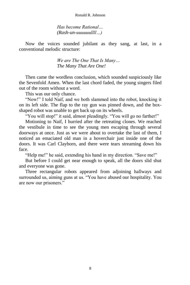*Has become Rational… (Rash-un-uuuuuullll…)*

Now the voices sounded jubilant as they sang, at last, in a conventional melodic structure:

> *We are The One That Is Many… The Many That Are One!*

Then came the wordless conclusion, which sounded suspiciously like the Sevenfold Amen. When the last chord faded, the young singers filed out of the room without a word.

This was our only chance.

"Now!" I told Naif, and we both slammed into the robot, knocking it on its left side. The flap to the ray gun was pinned down, and the boxshaped robot was unable to get back up on its wheels.

"You will stop!" it said, almost pleadingly. "You will go no farther!"

Motioning to Naif, I hurried after the retreating clones. We reached the vestibule in time to see the young men escaping through several doorways at once. Just as we were about to overtake the last of them, I noticed an emaciated old man in a hoverchair just inside one of the doors. It was Carl Clayborn, and there were tears streaming down his face.

"Help me!" he said, extending his hand in my direction. "Save me!"

But before I could get near enough to speak, all the doors slid shut and everyone was gone.

Three rectangular robots appeared from adjoining hallways and surrounded us, aiming guns at us. "You have abused our hospitality. You are now our prisoners."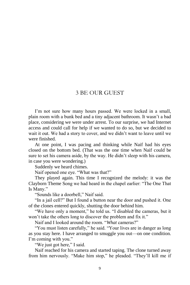#### 3 BE OUR GUEST

I'm not sure how many hours passed. We were locked in a small, plain room with a bunk bed and a tiny adjacent bathroom. It wasn't a bad place, considering we were under arrest. To our surprise, we had Internet access and could call for help if we wanted to do so, but we decided to wait it out. We had a story to cover, and we didn't want to leave until we were finished.

At one point, I was pacing and thinking while Naif had his eyes closed on the bottom bed. (That was the one time when Naif could be sure to set his camera aside, by the way. He didn't sleep with his camera, in case you were wondering.)

Suddenly we heard chimes.

Naif opened one eye. "What was that?"

They played again. This time I recognized the melody: it was the Clayborn Theme Song we had heard in the chapel earlier: "The One That Is Many."

"Sounds like a doorbell," Naif said.

"In a jail cell?" But I found a button near the door and pushed it. One of the clones entered quickly, shutting the door behind him.

"We have only a moment," he told us. "I disabled the cameras, but it won't take the others long to discover the problem and fix it."

Naif and I looked around the room. "*What* cameras?"

"You must listen carefully," he said. "Your lives are in danger as long as you stay here. I have arranged to smuggle you out—on one condition. I'm coming with you."

"We just got here," I said.

Naif reached for his camera and started taping. The clone turned away from him nervously. "Make him stop," he pleaded. "They'll kill me if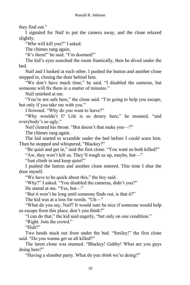they find out."

I signaled for Naif to put the camera away, and the clone relaxed slightly.

"*Who* will kill you?" I asked.

The chimes rang again.

"It's them!" he said. "I'm doomed!"

The kid's eyes searched the room frantically, then he dived under the bed.

Naif and I looked at each other. I pushed the button and another clone stepped in, closing the door behind him.

"We don't have much time," he said. "I disabled the cameras, but someone will fix them in a matter of minutes."

Naif smirked at me.

"You're not safe here," the clone said. "I'm going to help you escape, but only if you take me with you."

I frowned. "Why do you want to leave?"

"Why wouldn't I? Life is so dreary here," he moaned, "and everybody's so ugly."

Naif cleared his throat. "But doesn't that make *you*—?"

The chimes rang again.

The kid started to scramble under the bed before I could warn him. Then he stopped and whispered, "Blackey?"

"Be quiet and get in," said the first clone. "You want us both killed?"

"Aw, they won't kill us. They'll rough us up, maybe, but—"

"Just climb in and keep quiet!"

I pushed the button and another clone entered. This time I shut the door myself.

"We have to be quick about this," the boy said.

"Why?" I asked. "You disabled the cameras, didn't you?"

He stared at me. "Yes, but—"

"But it won't be long until someone finds out, is that it?"

The kid was at a loss for words. "Uh—"

"What do you say, Naif? It would sure be nice if someone would help us escape from this place, don't you think?"

"I can do that," the kid said eagerly, "but only on one condition."

"Right. Join the crowd."

"Huh?"

Two heads stuck out from under the bed. "Smiley!" the first clone said. "Do you wanna get us all killed?"

The latest clone was stunned. "Blackey! Gabby! What are you guys doing here?"

"Having a slumber party. What do you *think* we're doing?"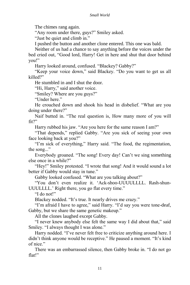The chimes rang again.

"Any room under there, guys?" Smiley asked.

"Just be quiet and climb in."

I pushed the button and another clone entered. This one was bald.

Neither of us had a chance to say anything before the voices under the bed cried out, "Good lord, Harry! Get in here and shut that door behind you!"

Harry looked around, confused. "Blackey? Gabby?"

"Keep your voice down," said Blackey. "Do you want to get us all killed?"

He stumbled in and I shut the door.

"Hi, Harry," said another voice.

"Smiley? Where are you guys?"

"Under here."

He crouched down and shook his head in disbelief. "What are you doing under there?"

Naif butted in. "The real question is, How many more of you will fit?"

Harry rubbed his jaw. "Are you here for the same reason I am?"

"That depends," replied Gabby. "Are you sick of seeing your own face looking back at you?"

"I'm sick of everything," Harry said. "The food, the regimentation, the song..."

Everybody groaned. "The song! Every day! Can't we sing something else once in a while?"

"Hey!" Smiley protested. "I wrote that song! And it would sound a lot better if Gabby would stay in tune."

Gabby looked confused. "What are you talking about?"

"You don't even realize it. 'Ack-shoo-UUUULLLL. Rash-shun-UUULLLL.' Right there, you go flat every time."

"I do not!"

Blackey nodded. "It's true. It nearly drives me crazy."

"I'm afraid I have to agree," said Harry. "I'd say you were tone-deaf, Gabby, but we share the same genetic makeup."

All the clones laughed except Gabby.

"I never knew anybody else felt the same way I did about that," said Smiley. "I always thought I was alone."

Harry nodded. "I've never felt free to criticize anything around here. I didn't think anyone would be receptive." He paused a moment. "It's kind of nice."

There was an embarrassed silence, then Gabby broke in. "I do not go flat!"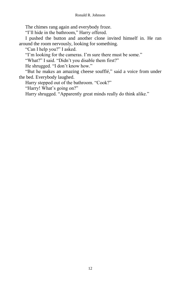The chimes rang again and everybody froze.

"I'll hide in the bathroom," Harry offered.

I pushed the button and another clone invited himself in. He ran around the room nervously, looking for something.

"Can I help you?" I asked.

"I'm looking for the cameras. I'm sure there must be some."

"What?" I said. "Didn't you disable them first?"

He shrugged. "I don't know how."

"But he makes an amazing cheese soufflé," said a voice from under the bed. Everybody laughed.

Harry stepped out of the bathroom. "Cook?"

"Harry! What's going on?"

Harry shrugged. "Apparently great minds really do think alike."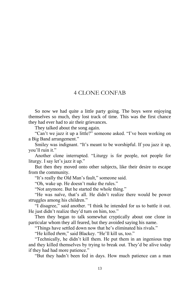#### 4 CLONE CONFAB

So now we had quite a little party going. The boys were enjoying themselves so much, they lost track of time. This was the first chance they had ever had to air their grievances.

They talked about the song again.

"Can't we jazz it up a little?" someone asked. "I've been working on a Big Band arrangement."

Smiley was indignant. "It's meant to be worshipful. If you jazz it up, you'll ruin it."

Another clone interrupted. "Liturgy is for people, not people for liturgy. I say let's jazz it up."

But then they moved onto other subjects, like their desire to escape from the community.

"It's really the Old Man's fault," someone said.

"Oh, wake up. He doesn't make the rules."

"Not anymore. But he started the whole thing."

"He was naïve, that's all. He didn't realize there would be power struggles among his children."

"I disagree," said another. "I think he intended for us to battle it out. He just didn't realize they'd turn on him, too."

Then they began to talk somewhat cryptically about one clone in particular whom they all feared, but they avoided saying his name.

"Things have settled down now that he's eliminated his rivals."

"He killed *them*," said Blackey. "He'll kill us, too."

"Technically, he didn't kill them. He put them in an ingenious trap and they killed themselves by trying to break out. They'd be alive today if they had had more patience."

"But they hadn't been fed in days. How much patience can a man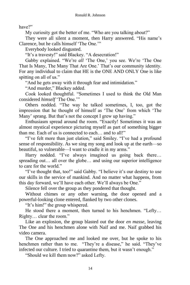have?"

My curiosity got the better of me. "Who are you talking about?"

They were all silent a moment, then Harry answered. "His name's Clarence, but he calls himself 'The One.'"

Everybody looked disgusted.

"It's a travesty!" said Blackey. "A desecration!"

Gabby explained. "We're *all* 'The One,' you see. We're 'The One That Is Many, The Many That Are One.' That's our community identity. For any individual to claim that HE is the ONE AND ONLY One is like spitting on all of us."

"And he gets away with it through fear and intimidation."

"And murder," Blackey added.

Cook looked thoughtful. "Sometimes I used to think the Old Man considered *himself* 'The One.'"

Others nodded. "The way he talked sometimes, I, too, got the impression that he thought of himself as 'The One' from which 'The Many' sprang. But that's not the concept I grew up having."

Enthusiasm spread around the room. "Exactly! Sometimes it was an almost mystical experience picturing myself as part of something bigger than me. Each of us is connected to each… and to all!"

"I've felt more than just elation," said Smiley. "I've had a profound sense of responsibility. As we sing my song and look up at the earth—so beautiful, so vulnerable—I want to cradle it in my arms."

Harry nodded. "I've always imagined us going back there... spreading out… all over the globe… and using our superior intelligence to care for the world."

"I've thought that, too!" said Gabby. "I believe it's our destiny to use our skills in the service of mankind. And no matter what happens, from this day forward, we'll have each other. We'll always be One."

Silence fell over the group as they pondered that thought.

Without chimes or any other warning, the door opened and a powerful-looking clone entered, flanked by two other clones.

"It's him!" the group whispered.

He stood there a moment, then turned to his henchmen. "Lefty… Righty… clear the room."

Like an explosion, the group blasted out the door *en masse*, leaving The One and his henchmen alone with Naif and me. Naif grabbed his video camera.

The One approached me and looked me over, but he spoke to his henchmen rather than to me. "They're a disease," he said. "They've infected our culture. I tried to quarantine them, but it wasn't enough."

"Should we kill them now?" asked Lefty.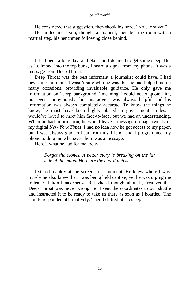#### *Small World*

He considered that suggestion, then shook his head. "No… not yet."

He circled me again, thought a moment, then left the room with a martial step, his henchmen following close behind.

It had been a long day, and Naif and I decided to get some sleep. But as I climbed into the top bunk, I heard a signal from my phone. It was a message from Deep Throat.

Deep Throat was the best informant a journalist could have. I had never met him, and I wasn't sure who he was, but he had helped me on many occasions, providing invaluable guidance. He only gave me information on "deep background," meaning I could never quote him, not even anonymously, but his advice was always helpful and his information was always completely accurate. To know the things he knew, he must have been highly placed in government circles. I would've loved to meet him face-to-face, but we had an understanding. When he had information, he would leave a message on page twenty of my digital *New York Times*. I had no idea how he got access to my paper, but I was always glad to hear from my friend, and I programmed my phone to ding me whenever there was a message.

Here's what he had for me today:

*Forget the clones. A better story is breaking on the far side of the moon. Here are the coordinates.*

I stared blankly at the screen for a moment. He knew where I was. Surely he also knew that I was being held captive, yet he was urging me to leave. It didn't make sense. But when I thought about it, I realized that Deep Throat was never wrong. So I sent the coordinates to our shuttle and instructed it to be ready to take us there as soon as I boarded. The shuttle responded affirmatively. Then I drifted off to sleep.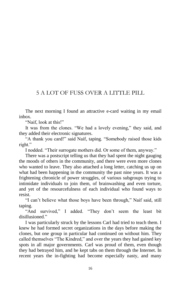## 5 A LOT OF FUSS OVER A LITTLE PILL

The next morning I found an attractive e-card waiting in my email inbox.

"Naif, look at this!"

It was from the clones. "We had a lovely evening," they said, and they added their electronic signatures.

"A thank you card!" said Naif, taping. "Somebody raised those kids right."

I nodded. "Their surrogate mothers did. Or some of them, anyway."

There was a postscript telling us that they had spent the night gauging the moods of others in the community, and there were even more clones who wanted to leave. They also attached a long letter, catching us up on what had been happening in the community the past nine years. It was a frightening chronicle of power struggles, of various subgroups trying to intimidate individuals to join them, of brainwashing and even torture, and yet of the resourcefulness of each individual who found ways to resist.

"I can't believe what those boys have been through," Naif said, still taping.

"And survived," I added. "They don't seem the least bit disillusioned."

I was particularly struck by the lessons Carl had tried to teach them. I knew he had formed secret organizations in the days before making the clones, but one group in particular had continued on without him. They called themselves "The Kindred," and over the years they had gained key spots in all major governments. Carl was proud of them, even though they had betrayed him, and he kept tabs on them through the Internet. In recent years the in-fighting had become especially nasty, and many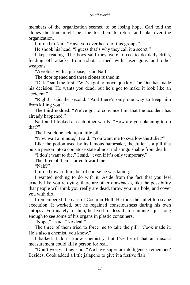members of the organization seemed to be losing hope. Carl told the clones the time might be ripe for them to return and take over the organization.

I turned to Naif. "Have you ever heard of this group?"

He shook his head. "I guess that's why they call it a secret."

I kept reading. The boys said they were forced to do daily drills, fending off attacks from robots armed with laser guns and other weapons.

"Aerobics with a purpose," said Naif.

The door opened and three clones rushed in.

"Dak!" said the first. "We've got to move quickly. The One has made his decision. He wants you dead, but he's got to make it look like an accident."

"Right!" said the second. "And there's only one way to keep him from killing you."

The third nodded. "We've got to convince him that the accident has already happened."

Naif and I looked at each other warily. "How are you planning to do that?"

The first clone held up a little pill.

"Now wait a minute," I said. "You want me to swallow the Juliet?"

Like the potion used by its famous namesake, the Juliet is a pill that puts a person into a comatose state almost indistinguishable from death.

"I don't want to die," I said, "even if it's only temporary."

The three of them started toward me.

"Naif?"

I turned toward him, but of course he was taping.

I wanted nothing to do with it. Aside from the fact that you feel exactly like you're dying, there are other drawbacks, like the possibility that people will think you really are dead, throw you in a hole, and cover you with dirt.

I remembered the case of Cochran Hull. He took the Juliet to escape execution. It worked, but he regained consciousness during his own autopsy. Fortunately for him, he lived for less than a minute—just long enough to see some of his organs in plastic containers.

"Nope," I said. "No deal."

The three of them tried to force me to take the pill. "Cook made it. He's also a chemist, you know."

I balked. I don't know chemistry, but I've heard that an inexact measurement could kill a person for real.

"Don't worry," they said. "We have superior intelligence, remember? Besides, Cook added a little jalapeno to give it a festive flair."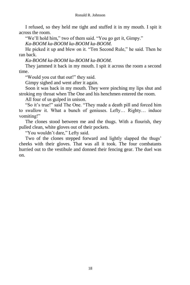I refused, so they held me tight and stuffed it in my mouth. I spit it across the room.

"We'll hold him," two of them said. "You go get it, Gimpy."

*Ka-BOOM ka-BOOM ka-BOOM ka-BOOM.*

He picked it up and blew on it. "Ten Second Rule," he said. Then he ran back.

*Ka-BOOM ka-BOOM ka-BOOM ka-BOOM.*

They jammed it back in my mouth. I spit it across the room a second time.

"Would you cut that out!" they said.

Gimpy sighed and went after it again.

Soon it was back in my mouth. They were pinching my lips shut and stroking my throat when The One and his henchmen entered the room.

All four of us gulped in unison.

"So it's true!" said The One. "They made a death pill and forced him to swallow it. What a bunch of geniuses. Lefty… Righty… induce vomiting!"

The clones stood between me and the thugs. With a flourish, they pulled clean, white gloves out of their pockets.

"You wouldn't dare," Lefty said.

Two of the clones stepped forward and lightly slapped the thugs' cheeks with their gloves. That was all it took. The four combatants hurried out to the vestibule and donned their fencing gear. The duel was on.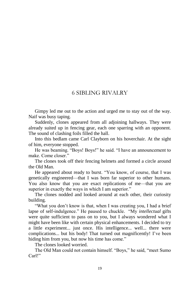## 6 SIBLING RIVALRY

Gimpy led me out to the action and urged me to stay out of the way. Naif was busy taping.

Suddenly, clones appeared from all adjoining hallways. They were already suited up in fencing gear, each one sparring with an opponent. The sound of clashing foils filled the hall.

Into this bedlam came Carl Clayborn on his hoverchair. At the sight of him, everyone stopped.

He was beaming. "Boys! Boys!" he said. "I have an announcement to make. Come closer."

The clones took off their fencing helmets and formed a circle around the Old Man.

He appeared about ready to burst. "You know, of course, that I was genetically engineered—that I was born far superior to other humans. You also know that you are exact replications of me—that you are superior in exactly the ways in which I am superior."

The clones nodded and looked around at each other, their curiosity building.

"What you don't know is that, when I was creating you, I had a brief lapse of self-indulgence." He paused to chuckle. "My *intellectual* gifts were quite sufficient to pass on to you, but I always wondered what I might have been like with certain physical enhancements. I decided to try a little experiment... just once. His intelligence... well... there were complications... but his body! That turned out magnificently! I've been hiding him from you, but now his time has come."

The clones looked worried.

The Old Man could not contain himself. "Boys," he said, "meet Sumo Carl!"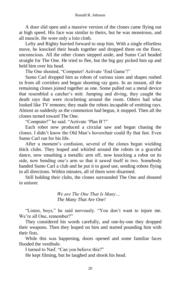A door slid open and a massive version of the clones came flying out at high speed. His face was similar to theirs, but he was monstrous, and all muscle. He wore only a loin cloth.

Lefty and Righty hurried forward to stop him. With a single effortless move, he knocked their heads together and dropped them on the floor, unconscious. All the other clones stepped aside, and Sumo Carl headed straight for The One. He tried to flee, but the big guy picked him up and held him over his head.

The One shouted, "Computer! Activate 'End Game'!"

Sumo Carl dropped him as robots of various sizes and shapes rushed in from all corridors and began shooting ray guns. In an instant, all the remaining clones joined together as one. Some pulled out a metal device that resembled a catcher's mitt. Jumping and diving, they caught the death rays that were ricocheting around the room. Others had what looked like TV remotes; they made the robots incapable of emitting rays. Almost as suddenly as the commotion had begun, it stopped. Then all the clones turned toward The One.

"Computer!" he said. "Activate 'Plan B'!"

Each robot now produced a circular saw and began chasing the clones. I didn't know the Old Man's hoverchair could fly that fast. Even Sumo Carl ran for his life.

After a moment's confusion, several of the clones began wielding thick clubs. They leaped and whirled around the robots in a graceful dance, now smashing a metallic arm off, now knocking a robot on its side, now bending one's arm so that it sawed itself in two. Somebody handed Sumo Carl a club and he put it to good use, sending robots flying in all directions. Within minutes, all of them were disarmed.

Still holding their clubs, the clones surrounded The One and shouted in unison:

> *We are The One That Is Many… The Many That Are One!*

"Listen, boys," he said nervously. "You don't want to injure me. We're all One, remember?"

They considered his words carefully, and one-by-one they dropped their weapons. Then they leaped on him and started pounding him with their fists.

While this was happening, doors opened and some familiar faces flooded the vestibule.

I turned to Naif. "Can you believe this?"

He kept filming, but he laughed and shook his head.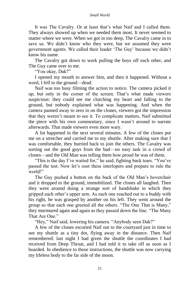#### *Small World*

It was The Cavalry. Or at least that's what Naif and I called them. They always showed up when we needed them most. It never seemed to matter where we were. When we got in too deep, The Cavalry came in to save us. We didn't know who they were, but we assumed they were government agents. We called their leader 'The Guy' because we didn't know his name.

The Cavalry got down to work pulling the boys off each other, and The Guy came over to me.

"You okay, Dak?"

I opened my mouth to answer him, and then it happened. Without a word, I fell to the ground—dead.

Naif was too busy filming the action to notice. The camera picked it up, but only in the corner of the screen. That's what made viewers suspicious: they could see me clutching my heart and falling to the ground, but nobody explained what was happening. And when the camera panned away to zero in on the clones, viewers got the impression that they weren't meant to see it. To complicate matters, Naif submitted the piece with his own commentary, since I wasn't around to narrate afterwards. That made viewers even more wary.

A lot happened in the next several minutes. A few of the clones put me on a stretcher and carried me to my shuttle. After making sure that I was comfortable, they hurried back to join the others. The Cavalry was sorting out the good guys from the bad—no easy task in a crowd of clones—and the Old Man was telling them how proud he was of them.

"This is the day I've waited for," he said, fighting back tears. "You've passed the test. Now let's oust these interlopers and prepare to rule the world!"

The Guy pushed a button on the back of the Old Man's hoverchair and it dropped to the ground, immobilized. The clones all laughed. Then they went around doing a strange sort of handshake in which they gripped each other's upper arm. As each one reached out to a buddy with his right, he was grasped by another on his left. They went around the group so that each one greeted all the others. "The One That is Many," they murmured again and again as they passed down the line. "The Many That Are One."

"Hey," Naif said, lowering his camera. "Anybody seen Dak?"

A few of the clones escorted Naif out to the courtyard just in time to see my shuttle as a tiny dot, flying away in the distance. Then Naif remembered: last night I had given the shuttle the coordinates I had received from Deep Throat, and I had told it to take off as soon as I boarded. In obedience to those instructions, the shuttle was now carrying my lifeless body to the far side of the moon.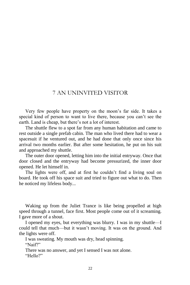## 7 AN UNINVITED VISITOR

Very few people have property on the moon's far side. It takes a special kind of person to want to live there, because you can't see the earth. Land is cheap, but there's not a lot of interest.

The shuttle flew to a spot far from any human habitation and came to rest outside a single prefab cabin. The man who lived there had to wear a spacesuit if he ventured out, and he had done that only once since his arrival two months earlier. But after some hesitation, he put on his suit and approached my shuttle.

The outer door opened, letting him into the initial entryway. Once that door closed and the entryway had become pressurized, the inner door opened. He let himself in.

The lights were off, and at first he couldn't find a living soul on board. He took off his space suit and tried to figure out what to do. Then he noticed my lifeless body...

Waking up from the Juliet Trance is like being propelled at high speed through a tunnel, face first. Most people come out of it screaming. I gave more of a shout.

I opened my eyes, but everything was blurry. I was in my shuttle—I could tell that much—but it wasn't moving. It was on the ground. And the lights were off.

I was sweating. My mouth was dry, head spinning. "Naif?"

There was no answer, and yet I sensed I was not alone. "Hello?"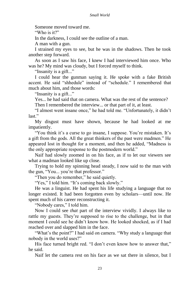Someone moved toward me.

"Who is it?"

In the darkness, I could see the outline of a man.

A man with a gun.

I strained my eyes to see, but he was in the shadows. Then he took another step forward.

As soon as I saw his face, I knew I had interviewed him once. Who was he? My mind was cloudy, but I forced myself to think.

"Insanity is a gift..."

I could hear the gunman saying it. He spoke with a fake British accent. He said "shhedule" instead of "schedule." I remembered that much about him, and those words:

"Insanity is a gift..."

Yes... he had said that on camera. What was the rest of the sentence?

Then I remembered the interview... or that part of it, at least.

"I almost went insane once," he had told me. "Unfortunately, it didn't last."

My disgust must have shown, because he had looked at me impatiently.

"You think it's a curse to go insane, I suppose. You're mistaken. It's a gift from the gods. All the great thinkers of the past were madmen." He appeared lost in thought for a moment, and then he added, "Madness is the only appropriate response to the postmodern world."

Naif had slowly zoomed in on his face, as if to let our viewers see what a madman looked like up close.

Trying to hold my spinning head steady, I now said to the man with the gun, "You... you're that professor."

"Then you do remember," he said quietly.

"Yes," I told him. "It's coming back slowly."

He was a linguist. He had spent his life studying a language that no longer existed. It had been forgotten even by scholars—until now. He spent much of his career reconstructing it.

"Nobody cares," I told him.

Now I could see *that* part of the interview vividly. I always like to rattle my guests. They're supposed to rise to the challenge, but in that moment I could see he didn't know how. He looked shocked, as if I had reached over and slapped him in the face.

"What's the point?" I had said on camera. "Why study a language that nobody in the world uses?"

His face turned bright red. "I don't even know how to answer that," he said.

Naif let the camera rest on his face as we sat there in silence, but I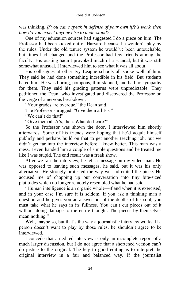was thinking, *If you can't speak in defense of your own life's work, then how do you expect anyone else to understand?*

One of my education sources had suggested I do a piece on him. The Professor had been kicked out of Harvard because he wouldn't play by the rules. Under the old tenure system he would've been untouchable, but times had changed and the Professor had few friends among the faculty. His ousting hadn't provoked much of a scandal, but it was still somewhat unusual. I interviewed him to see what it was all about.

His colleagues at other Ivy League schools all spoke well of him. They said he had done something incredible in his field. But students hated him. He was boring, pompous, thin-skinned, and had no sympathy for them. They said his grading patterns were unpredictable. They petitioned the Dean, who investigated and discovered the Professor on the verge of a nervous breakdown.

"Your grades are overdue," the Dean said.

The Professor shrugged. "Give them all F's."

"We can't do that!"

"Give them all A's, then. What do I care?"

So the Professor was shown the door. I interviewed him shortly afterwards. Some of his friends were hoping that he'd acquit himself publicly and perhaps build on that to get another teaching job, but we didn't get far into the interview before I knew better. This man was a mess. I even handed him a couple of simple questions and he treated me like I was stupid. The end result was a freak show.

After we ran the interview, he left a message on my video mail. He was opposed to leaving such messages, he said, but it was his only alternative. He strongly protested the way we had edited the piece. He accused me of chopping up our conversation into tiny bite-sized platitudes which no longer remotely resembled what he had said.

"Human intelligence is an organic whole—if and when it is exercised, and in your case I'm sure it is seldom. If you ask a thinking man a question and he gives you an answer out of the depths of his soul, you must take what he says in its fullness. You can't cut pieces out of it without doing damage to the entire thought. The pieces by themselves mean nothing."

Well, maybe so, but that's the way a journalistic interview works. If a person doesn't want to play by those rules, he shouldn't agree to be interviewed.

I concede that an edited interview is only an incomplete report of a much larger discussion, but I do not agree that a shortened version can't do justice to the original. The key to good editing is to interpret the original interview in a fair and balanced way. If the journalist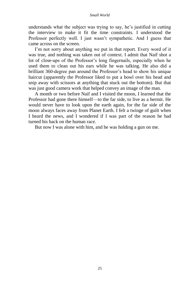understands what the subject was trying to say, he's justified in cutting the interview to make it fit the time constraints. I understood the Professor perfectly well. I just wasn't sympathetic. And I guess that came across on the screen.

I'm not sorry about anything we put in that report. Every word of it was true, and nothing was taken out of context. I admit that Naif shot a lot of close-ups of the Professor's long fingernails, especially when he used them to clean out his ears while he was talking. He also did a brilliant 360-degree pan around the Professor's head to show his unique haircut (apparently the Professor liked to put a bowl over his head and snip away with scissors at anything that stuck out the bottom). But that was just good camera work that helped convey an image of the man.

A month or two before Naif and I visited the moon, I learned that the Professor had gone there himself—to the far side, to live as a hermit. He would never have to look upon the earth again, for the far side of the moon always faces away from Planet Earth. I felt a twinge of guilt when I heard the news, and I wondered if I was part of the reason he had turned his back on the human race.

But now I was alone with him, and he was holding a gun on me.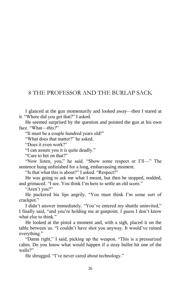## 8 THE PROFESSOR AND THE BURLAP SACK

I glanced at the gun momentarily and looked away—then I stared at it. "Where did you get that?" I asked.

He seemed surprised by the question and pointed the gun at his own face. "What—*this?*"

"It must be a couple hundred years old!"

"What does that matter?" he asked.

"Does it even work?"

"I can assure you it is quite deadly."

"Care to bet on that?"

"Now listen, you," he said. "Show some respect or I'll—" The sentence hung unfinished for a long, embarrassing moment.

"Is that what this is about?" I asked. "Respect?"

He was going to ask me what I meant, but then he stopped, nodded, and grimaced. "I see. You think I'm here to settle an old score."

"Aren't you?"

He puckered his lips angrily. "You must think I'm some sort of crackpot."

I didn't answer immediately. "You've entered my shuttle uninvited," I finally said, "and you're holding me at gunpoint. I guess I don't know what else to think."

He looked at the pistol a moment and, with a sigh, placed it on the table between us. "I couldn't have shot you anyway. It would've ruined everything."

"Damn right," I said, picking up the weapon. "This is a pressurized cabin. Do you know what would happen if a stray bullet hit one of the walls?"

He shrugged. "I've never cared about technology."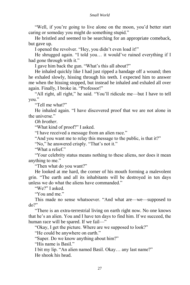#### *Small World*

"Well, if you're going to live alone on the moon, you'd better start caring or someday you might do something stupid."

He bristled and seemed to be searching for an appropriate comeback, but gave up.

I opened the revolver. "Hey, you didn't even load it!"

He shrugged again. "I told you… it would've ruined everything if I had gone through with it."

I gave him back the gun. "What's this all about?"

He inhaled quickly like I had just ripped a bandage off a wound; then he exhaled slowly, hissing through his teeth. I expected him to answer me when the hissing stopped, but instead he inhaled and exhaled all over again. Finally, I broke in. "Professor!"

"All right, all right," he said. "You'll ridicule me—but I have to tell you."

"Tell me what?"

He inhaled again. "I have discovered proof that we are not alone in the universe."

*Oh brother.* 

"What kind of proof?" I asked.

"I have received a message from an alien race."

"And you want me to relay this message to the public, is that it?"

"No," he answered crisply. "That's not it."

"What a relief."

"Your celebrity status means nothing to these aliens, nor does it mean anything to me."

"Then what do you want?"

He looked at me hard, the corner of his mouth forming a malevolent grin. "The earth and all its inhabitants will be destroyed in ten days unless we do what the aliens have commanded."

"We?" I asked.

"You and me."

This made no sense whatsoever. "And what are—we—supposed to do?"

"There is an extra-terrestrial living on earth right now. No one knows that he's an alien. You and I have ten days to find him. If we succeed, the human race will be spared. If we fail—"

"Okay, I get the picture. Where are we supposed to look?"

"He could be anywhere on earth."

"Super. Do we know anything about him?"

"His name is Basil."

I bit my lip. "An alien named Basil. Okay… any last name?" He shook his head.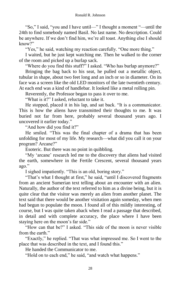"So," I said, "you and I have until—" I thought a moment "—until the 24th to find somebody named Basil. No last name. No description. Could be anywhere. If we don't find him, we're all toast. Anything else I should know?"

"Yes," he said, watching my reaction carefully. "One more thing."

I waited, but he just kept watching me. Then he walked to the corner of the room and picked up a burlap sack.

"Where do you find this stuff?" I asked. "Who has burlap anymore?"

Bringing the bag back to his seat, he pulled out a metallic object, tubular in shape, about two feet long and an inch or so in diameter. On its face was a screen like the old LED monitors of the late twentieth century. At each end was a kind of handlebar. It looked like a metal rolling pin.

Reverently, the Professor began to pass it over to me.

"What is it?" I asked, reluctant to take it.

He stopped, placed it in his lap, and sat back. "It is a communicator. This is how the aliens have transmitted their thoughts to me. It was buried not far from here, probably several thousand years ago. I uncovered it earlier today."

"And how did you find it?"

He smiled. "This was the final chapter of a drama that has been unfolding for most of my life. My research—what did you call it on your program? Arcane?"

Esoteric. But there was no point in quibbling.

"My 'arcane' research led me to the discovery that aliens had visited the earth, somewhere in the Fertile Crescent, several thousand years ago."

I sighed impatiently. "This is an old, boring story."

"That's what I thought at first," he said, "until I discovered fragments from an ancient Sumerian text telling about an encounter with an alien. Naturally, the author of the text referred to him as a divine being, but it is quite clear that the visitor was merely an alien from another planet. The text said that there would be another visitation again someday, when men had begun to populate the moon. I found all of this mildly interesting, of course, but I was quite taken aback when I read a passage that described, in detail and with complete accuracy, the place where I have been staying here on the moon's far side."

"How can that be?" I asked. "This side of the moon is never visible from the earth."

"Exactly," he replied. "That was what impressed me. So I went to the place that was described in the text, and I found this."

He handed the Communicator to me.

"Hold on to each end," he said, "and watch what happens."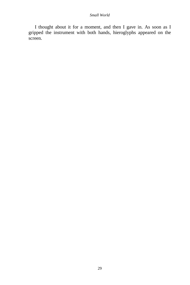#### *Small World*

I thought about it for a moment, and then I gave in. As soon as I gripped the instrument with both hands, hieroglyphs appeared on the screen.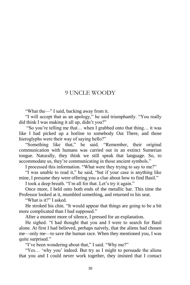#### 9 UNCLE WOODY

"What the—" I said, backing away from it.

"I will accept that as an apology," he said triumphantly. "You really did think I was making it all up, didn't you?"

"So you're telling me that… when I grabbed onto that thing… it was like I had picked up a hotline to somebody Out There, and those hieroglyphs were their way of saying hello?"

"Something like that," he said. "Remember, their original communication with humans was carried out in an extinct Sumerian tongue. Naturally, they think we still speak that language. So, to accommodate us, they're communicating in those ancient symbols."

I processed this information. "What were they trying to say to me?"

"I was unable to read it," he said, "but if your case is anything like mine, I presume they were offering you a clue about how to find Basil."

I took a deep breath. "I'm all for that. Let's try it again."

Once more, I held onto both ends of the metallic bar. This time the Professor looked at it, mumbled something, and returned to his seat.

"What is it?" I asked.

He stroked his chin. "It would appear that things are going to be a bit more complicated than I had supposed."

After a moment more of silence, I pressed for an explanation.

He sighed. "I had thought that you and I were to search for Basil alone. At first I had believed, perhaps naively, that the aliens had chosen me—only me—to save the human race. When they mentioned you, I was quite surprised."

"I've been wondering about that," I said. "Why me?"

"Yes… 'why you' indeed. But try as I might to persuade the aliens that you and I could never work together, they insisted that I contact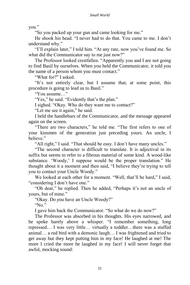you."

"So you packed up your gun and came looking for me."

He shook his head. "I never had to do that. You came to me. I don't understand why."

"I'll explain later," I told him. "At any rate, now you've found me. So what did the Communicator say to me just now?"

The Professor looked crestfallen. "Apparently you and I are not going to find Basil by ourselves. When you held the Communicator, it told you the name of a person whom you must contact."

"What for?" I asked.

"It's not entirely clear, but I assume that, at some point, this procedure is going to lead us to Basil."

"You assume…"

"Yes," he said. "Evidently that's the plan."

I sighed. "Okay. Who do they want me to contact?"

"Let me see it again," he said.

I held the handlebars of the Communicator, and the message appeared again on the screen.

"There are two characters," he told me. "The first refers to one of your kinsmen of the generation just preceding yours. An uncle, I believe."

"All right," I said. "That should be easy. I don't have many uncles."

"The second character is difficult to translate. It is adjectival in its suffix but seems to refer to a fibrous material of some kind. A wood-like substance. 'Woody,' I suppose would be the proper translation." He thought about it a moment and then said, "I believe they're trying to tell you to contact your Uncle Woody."

We looked at each other for a moment. "Well, that'll be hard," I said, "considering I don't have one."

"Oh dear," he replied. Then he added, "Perhaps it's not an uncle of yours, but of mine."

"Okay. Do *you* have an Uncle Woody?"

"No."

I gave him back the Communicator. "So what do we do now?"

The Professor was absorbed in his thoughts. His eyes narrowed, and he spoke barely above a whisper. "I remember something, long repressed… I was very little… virtually a toddler…there was a stuffed animal… a red bird with a demonic laugh… I was frightened and tried to get away but they kept putting him in my face! He laughed at me! The more I cried the more he laughed in my face! I will never forget that awful, mocking sound: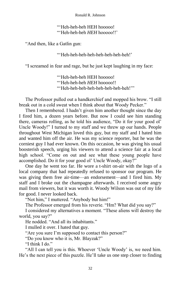#### "'Heh-heh-heh HEH hooooo! "'Heh-heh-heh *HEH* hooooo!!'

"And then, like a Gatlin gun:

"'Heh-heh-heh-heh-heh-heh-heh-heh!'

"I screamed in fear and rage, but he just kept laughing in my face:

"'Heh-heh-heh HEH hooooo! "'Heh-heh-heh *HEH* hooooo!! "'Heh-heh-heh-heh-heh-heh-heh-heh!'"

The Professor pulled out a handkerchief and mopped his brow. "I still break out in a cold sweat when I think about that Woody Pecker."

Then I remembered. I hadn't given him another thought since the day I fired him, a dozen years before. But now I could see him standing there, cameras rolling, as he told his audience, "Do it for your good ol' Uncle Woody!" I turned to my staff and we threw up our hands. People throughout West Michigan loved this guy, but my staff and I hated him and wanted him off the air. He was my science reporter, but he was the corniest guy I had ever known. On this occasion, he was giving his usual boosterish speech, urging his viewers to attend a science fair at a local high school. "Come on out and see what these young people have accomplished. Do it for your good ol' Uncle Woody, okay?"

One day he went too far. He wore a t-shirt on-air with the logo of a local company that had repeatedly refused to sponsor our program. He was giving them free air-time—an endorsement—and I fired him. My staff and I broke out the champagne afterwards. I received some angry mail from viewers, but it was worth it. Woody Wilson was out of my life for good. I never looked back.

"Not him," I muttered. "Anybody but him!"

The Professor emerged from his reverie. "Hm? What did you say?"

I considered my alternatives a moment. "These aliens will destroy the world, you say?"

He nodded. "And all its inhabitants."

I mulled it over. I hated that guy.

"Are you sure I'm supposed to contact this person?"

"Do you know who it is, Mr. Blayzak?"

"I think I do."

"All I can tell you is this. Whoever 'Uncle Woody' is, we need him. He's the next piece of this puzzle. He'll take us one step closer to finding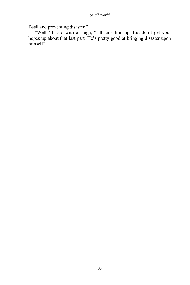Basil and preventing disaster."

"Well," I said with a laugh, "I'll look him up. But don't get your hopes up about that last part. He's pretty good at bringing disaster upon himself."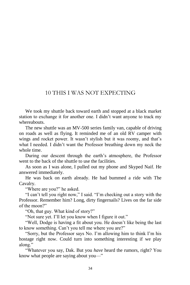## 10 THIS I WAS NOT EXPECTING

We took my shuttle back toward earth and stopped at a black market station to exchange it for another one. I didn't want anyone to track my whereabouts.

The new shuttle was an MV-500 series family van, capable of driving on roads as well as flying. It reminded me of an old RV camper with wings and rocket power. It wasn't stylish but it was roomy, and that's what I needed. I didn't want the Professor breathing down my neck the whole time.

During our descent through the earth's atmosphere, the Professor went to the back of the shuttle to use the facilities.

As soon as I was alone, I pulled out my phone and Skyped Naif. He answered immediately.

He was back on earth already. He had bummed a ride with The Cavalry.

"Where are you?" he asked.

"I can't tell you right now," I said. "I'm checking out a story with the Professor. Remember him? Long, dirty fingernails? Lives on the far side of the moon?"

"Oh, that guy. What kind of story?"

"Not sure yet. I'll let you know when I figure it out."

"Well, Dodge is having a fit about you. He doesn't like being the last to know something. Can't you tell me where you are?"

"Sorry, but the Professor says No. I'm allowing him to think I'm his hostage right now. Could turn into something interesting if we play along."

"Whatever you say, Dak. But you *have* heard the rumors, right? You know what people are saying about you—"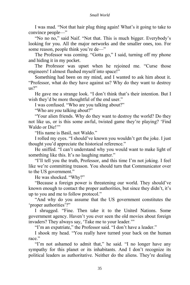I was mad. "Not that hair plug thing again! What's it going to take to convince people—"

"No no no," said Naif. "Not that. This is much bigger. Everybody's looking for you. All the major networks and the smaller ones, too. For some reason, people think you're de—"

The Professor was coming. "Gotta go," I said, turning off my phone and hiding it in my pocket.

The Professor was upset when he rejoined me. "Curse those engineers! I almost flushed myself into space!"

Something had been on my mind, and I wanted to ask him about it. "Professor, what do they have against us? Why do they want to destroy  $us?"$ 

He gave me a strange look. "I don't think that's their intention. But I wish they'd be more thoughtful of the end user."

I was confused. "Who are you talking about?"

"Who are *you* talking about?"

"Your alien friends. Why do they want to destroy the world? Do they not like us, or is this some awful, twisted game they're playing? 'Find Waldo or Die!"

"His name is Basil, not Waldo."

I rolled my eyes. "I should've known you wouldn't get the joke. I just thought you'd appreciate the historical reference."

He sniffed. "I can't understand why you would want to make light of something like this. It's no laughing matter."

"I'll tell you the truth, Professor, and this time I'm not joking. I feel like we're committing treason. You should turn that Communicator over to the US government."

He was shocked. "Why?"

"Because a foreign power is threatening our world. They should've known enough to contact the proper authorities, but since they didn't, it's up to you and me to follow protocol."

"And why do you assume that the US government constitutes the 'proper authorities'?"

I shrugged. "Fine. Then take it to the United Nations. Some government agency. Haven't you ever seen the old movies about foreign invaders? They always say, 'Take me to your leader.'"

"I'm an expatriate," the Professor said. "I don't have a leader."

I shook my head. "You really have turned your back on the human race."

"I'm not ashamed to admit that," he said. "I no longer have any sympathy for this planet or its inhabitants. And I don't recognize its political leaders as authoritative. Neither do the aliens. They're dealing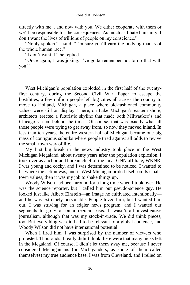directly with me... and now with you. We either cooperate with them or we'll be responsible for the consequences. As much as I hate humanity, I don't want the lives of trillions of people on my conscience."

"Nobly spoken," I said. "I'm sure you'll earn the undying thanks of the whole human race."

"I don't want it," he replied.

"Once again, I was joking. I've gotta remember not to do that with you."

West Michigan's population exploded in the first half of the twentyfirst century, during the Second Civil War. Eager to escape the hostilities, a few million people left big cities all across the country to move to Holland, Michigan, a place where old-fashioned community values were still on display. There, on Lake Michigan's eastern shore, architects erected a futuristic skyline that made both Milwaukee's and Chicago's seem behind the times. Of course, that was exactly what all those people were trying to get away from, so now they moved inland. In less than ten years, the entire western half of Michigan became one big mass of contiguous suburbs where people tried against all odds to revive the small-town way of life.

My first big break in the news industry took place in the West Michigan Megaland, about twenty years after the population explosion. I took over as anchor and bureau chief of the local GNN affiliate, WKNR. I was young and cocky, and I was determined to be noticed. I wanted to be where the action was, and if West Michigan prided itself on its smalltown values, then it was my job to shake things up.

Woody Wilson had been around for a long time when I took over. He was the science reporter, but I called him our pseudo-science guy. He looked just like Albert Einstein—an image he cultivated intentionally and he was extremely personable. People loved him, but I wanted him out. I was striving for an edgier news program, and I wanted our segments to go viral on a regular basis. It wasn't all investigative journalism, although that was my stock-in-trade. We did think pieces, too. But everything we did had to be relevant to a global audience, and Woody Wilson did not have international potential.

When I fired him, I was surprised by the number of viewers who protested. Thousands. I really didn't think there were that many hicks left in the Megaland. Of course, I didn't let them sway me, because I never considered Michiganians (or Michiganders, as some of them called themselves) my true audience base. I was from Cleveland, and I relied on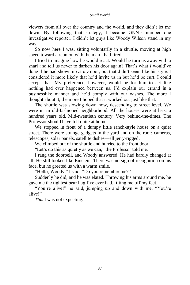#### *Small World*

viewers from all over the country and the world, and they didn't let me down. By following that strategy, I became GNN's number one investigative reporter. I didn't let guys like Woody Wilson stand in my way.

So now here I was, sitting voluntarily in a shuttle, moving at high speed toward a reunion with the man I had fired.

I tried to imagine how he would react. Would he turn us away with a snarl and tell us never to darken his door again? That's what *I* would've done if he had shown up at *my* door, but that didn't seem like his style. I considered it more likely that he'd invite us in but he'd be curt. I could accept that. My preference, however, would be for him to act like nothing had ever happened between us. I'd explain our errand in a businesslike manner and he'd comply with our wishes. The more I thought about it, the more I hoped that it worked out just like that.

The shuttle was slowing down now, descending to street level. We were in an old-fashioned neighborhood. All the houses were at least a hundred years old. Mid-twentieth century. Very behind-the-times. The Professor should have felt quite at home.

We stopped in front of a dumpy little ranch-style house on a quiet street. There were strange gadgets in the yard and on the roof: cameras, telescopes, solar panels, satellite dishes—all jerry-rigged.

We climbed out of the shuttle and hurried to the front door.

"Let's do this as quietly as we can," the Professor told me.

I rang the doorbell, and Woody answered. He had hardly changed at all. He still looked like Einstein. There was no sign of recognition on his face, but he greeted us with a warm smile.

"Hello, Woody," I said. "Do you remember me?"

Suddenly he did, and he was elated. Throwing his arms around me, he gave me the tightest bear hug I've ever had, lifting me off my feet.

"You're alive!" he said, jumping up and down with me. "You're alive!"

*This* I was not expecting.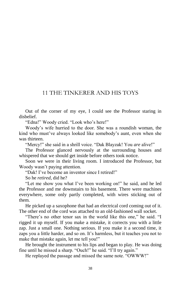## 11 THE TINKERER AND HIS TOYS

Out of the corner of my eye, I could see the Professor staring in disbelief.

"Edna!" Woody cried. "Look who's here!"

Woody's wife hurried to the door. She was a roundish woman, the kind who must've always looked like somebody's aunt, even when she was thirteen.

"Mercy!" she said in a shrill voice. "Dak Blayzak! You *are* alive!"

The Professor glanced nervously at the surrounding houses and whispered that we should get inside before others took notice.

Soon we were in their living room. I introduced the Professor, but Woody wasn't paying attention.

"Dak! I've become an inventor since I retired!"

So he *retired*, did he?

"Let me show you what I've been working on!" he said, and he led the Professor and me downstairs to his basement. There were machines everywhere, some only partly completed, with wires sticking out of them.

He picked up a saxophone that had an electrical cord coming out of it. The other end of the cord was attached to an old-fashioned wall socket.

"There's no other tenor sax in the world like this one," he said. "I rigged it up myself. If you make a mistake, it corrects you with a little zap. Just a small one. Nothing serious. If you make it a second time, it zaps you a little harder, and so on. It's harmless, but it teaches you not to make that mistake again, let me tell you!"

He brought the instrument to his lips and began to play. He was doing fine until he missed a sharp. "Ouch!" he said. "I'll try again."

He replayed the passage and missed the same note. "OWWW!"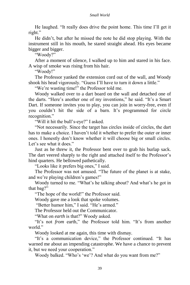He laughed. "It really does drive the point home. This time I'll get it right."

He didn't, but after he missed the note he did stop playing. With the instrument still in his mouth, he stared straight ahead. His eyes became bigger and bigger.

"Woody?"

After a moment of silence, I walked up to him and stared in his face. A wisp of smoke was rising from his hair.

"Woody!"

The Professor yanked the extension cord out of the wall, and Woody shook his head vigorously. "Guess I'll have to turn it down a little."

"We're wasting time!" the Professor told me.

Woody walked over to a dart board on the wall and detached one of the darts. "Here's another one of my inventions," he said. "It's a Smart Dart. If someone invites you to play, you can join in worry-free, even if you couldn't hit the side of a barn. It's programmed for circle recognition."

"Will it hit the bull's-eye?" I asked.

"Not necessarily. Since the target has circles inside of circles, the dart has to make a choice. I haven't told it whether to prefer the outer or inner ones. I honestly don't know whether it will choose big or small circles. Let's see what it does."

Just as he threw it, the Professor bent over to grab his burlap sack. The dart veered sharply to the right and attached itself to the Professor's hind quarters. He bellowed pathetically.

"Looks like it prefers big ones," I said.

The Professor was not amused. "The future of the planet is at stake, and we're playing children's games!"

Woody turned to me. "What's he talking about? And what's he got in that bag?"

"The hope of the world!" the Professor said.

Woody gave me a look that spoke volumes.

"Better humor him," I said. "He's armed."

The Professor held out the Communicator.

"What on *earth* is that?" Woody asked.

"It's not *from* earth," the Professor told him. "It's from another world"

Woody looked at me again, this time with dismay.

"It's a communication device," the Professor continued. "It has warned me about an impending catastrophe. We have a chance to prevent it, but we need your cooperation."

Woody balked. "Who's 'we'? And what do you want from me?"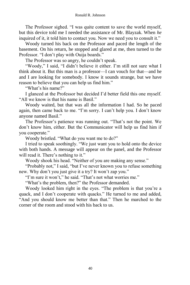The Professor sighed. "I was quite content to save the world myself, but this device told me I needed the assistance of Mr. Blayzak. When *he* inquired of it, it told him to contact you. Now we need you to consult it."

Woody turned his back on the Professor and paced the length of the basement. On his return, he stopped and glared at me, then turned to the Professor. "I don't play with Ouija boards."

The Professor was so angry, he couldn't speak.

"Woody," I said, "I didn't believe it either. I'm still not sure what I think about it. But this man is a professor—I can vouch for that—and he and I are looking for somebody. I know it sounds strange, but we have reason to believe that you can help us find him."

"What's his name?"

I glanced at the Professor but decided I'd better field this one myself. "All we know is that his name is Basil."

Woody waited, but that was all the information I had. So he paced again, then came back to me. "I'm sorry. I can't help you. I don't know anyone named Basil."

The Professor's patience was running out. "That's not the point. We don't know him, either. But the Communicator will help us find him if you cooperate."

Woody bristled. "What do you want me to do?"

I tried to speak soothingly. "We just want you to hold onto the device with both hands. A message will appear on the panel, and the Professor will read it. There's nothing to it."

Woody shook his head. "Neither of you are making any sense."

"Probably not," I said, "but I've never known you to refuse something new. Why don't you just give it a try? It won't zap you."

"I'm sure it won't," he said. "That's not what worries me."

"What's the problem, then?" the Professor demanded.

Woody looked him right in the eyes. "The problem is that you're a quack, and I don't cooperate with quacks." He turned to me and added, "And you should know me better than that." Then he marched to the corner of the room and stood with his back to us.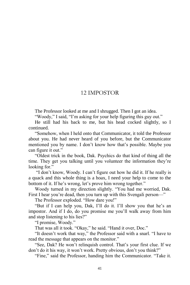#### 12 IMPOSTOR

The Professor looked at me and I shrugged. Then I got an idea.

"Woody," I said, "I'm asking for your help figuring this guy out."

He still had his back to me, but his head cocked slightly, so I continued.

"Somehow, when I held onto that Communicator, it told the Professor about you. He had never heard of you before, but the Communicator mentioned you by name. I don't know how that's possible. Maybe you can figure it out."

"Oldest trick in the book, Dak. Psychics do that kind of thing all the time. They get you talking until you volunteer the information they're looking for."

"I don't know, Woody. I can't figure out how he did it. If he really is a quack and this whole thing is a hoax, I need your help to come to the bottom of it. If he's wrong, let's prove him wrong together."

Woody turned in my direction slightly. "You had me worried, Dak. First I hear you're dead, then you turn up with this Svengali person—"

The Professor exploded. "How dare you!"

"But if I can help you, Dak, I'll do it. I'll show you that he's an impostor. And if I do, do you promise me you'll walk away from him and stop listening to his lies?"

"I promise, Woody."

That was all it took. "Okay," he said. "Hand it over, Doc."

"It doesn't work that way," the Professor said with a snarl. "I have to read the message that appears on the monitor."

"See, Dak? He won't relinquish control. That's your first clue. If we don't do it his way, it won't work. Pretty obvious, don't you think?"

"Fine," said the Professor, handing him the Communicator. "Take it.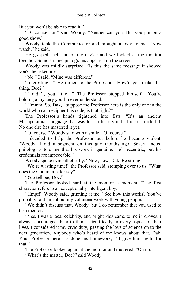But you won't be able to read it."

"Of course not," said Woody. "Neither can you. But you put on a good show."

Woody took the Communicator and brought it over to me. "Now watch." he said.

He grasped each end of the device and we looked at the monitor together. Some strange pictograms appeared on the screen.

Woody was mildly surprised. "Is this the same message it showed you?" he asked me.

"No," I said. "Mine was different."

"Interesting…" He turned to the Professor. "How'd you make this thing, Doc?"

"I didn't, you little—" The Professor stopped himself. "You're holding a mystery you'll never understand."

"Hmmm. So, Dak, I suppose the Professor here is the only one in the world who can decipher this code, is that right?"

The Professor's hands tightened into fists. "It's an ancient Mesopotamian language that was lost to history until I reconstructed it. No one else has mastered it yet."

"Of course," Woody said with a smile. "Of course."

I decided to help the Professor out before he became violent. "Woody, I did a segment on this guy months ago. Several noted philologists told me that his work is genuine. He's eccentric, but his credentials are impeccable."

Woody spoke sympathetically. "Now, now, Dak. Be strong."

"We're wasting time!" the Professor said, stomping over to us. "What does the Communicator say?"

"*You* tell *me*, Doc."

The Professor looked hard at the monitor a moment. "The first character refers to an exceptionally intelligent boy."

"Hmpf!" Woody said, grinning at me. "See how this works? You've probably told him about my volunteer work with young people."

"We didn't discuss that, Woody, but I do remember that you used to be a mentor."

"Yes, I was a local celebrity, and bright kids came to me in droves. I always encouraged them to think scientifically in every aspect of their lives. I considered it my civic duty, passing the love of science on to the next generation. Anybody who's heard of me knows about that, Dak. Your Professor here has done his homework, I'll give him credit for that."

The Professor looked again at the monitor and muttered. "Oh no."

"What's the matter, Doc?" said Woody.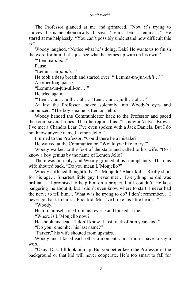#### *Small World*

The Professor glanced at me and grimaced. "Now it's trying to convey the name phonetically. It says, 'Lem… lem… lemma…'" He stared at me helplessly. "You can't possibly understand how difficult this is."

Woody laughed. "Notice what he's doing, Dak? He wants us to finish the word for him. Let's just see what he comes up with on his own."

"'Lemma-*uhnn*."

Pause.

"Lemma-un-*juuuh*…'"

He took a deep breath and started over: "'Lemma-un-juh-*ullll*…'"

Another long pause.

"Lemma-un-juh-ulll-*oh*…'"

He tried again:

"'Lem… un… jullll… oh…' 'Lem… un… jullll… oh…'"

At last the Professor looked solemnly into Woody's eyes and announced, "The boy's name is Lemon Jello."

Woody handed the Communicator back to the Professor and paced the room several times. Then he rejoined us. "I know a Velvet Brown. I've met a Chandra Lear. I've even spoken with a Jack Daniels. But I do not know anyone named Lemon Jello."

I turned to the Professor. "Could there be a mistake?"

He waived at the Communicator. "Would *you* like to try?"

Woody walked to the foot of the stairs and called to his wife. "Do I know a boy genius by the name of Lemon Jello?"

There was no reply, and Woody grinned at us triumphantly. Then his wife shouted back, "Do you mean L'Monjello?"

Woody stiffened thoughtfully. "L'Monjello! Black kid… Really short for his age… Smartest little guy I ever met… Everything he did was brilliant… I promised to help him on a project, but I couldn't. He kept badgering me about it, but I didn't even know where to start. I never had the nerve to tell him… What was he trying to do? I don't remember… I never got back to him… Poor kid. Must've broke his little heart…"

"Woody."

He tore himself free from his reverie and looked at me.

"Where is L'Monjello now?"

He shook his head. "I don't know. I lost track of him years ago."

"Do you remember his last name?"

"Parker," his wife shouted from upstairs.

Woody and I faced each other a moment, and I didn't have to say a word.

"Okay, Dak. I'll look him up. But you better keep the Professor in the background or that kid will never cooperate. He's too smart to fall for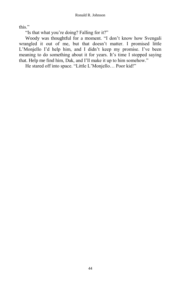this."

"Is that what you're doing? Falling for it?"

Woody was thoughtful for a moment. "I don't know how Svengali wrangled it out of me, but that doesn't matter. I promised little L'Monjello I'd help him, and I didn't keep my promise. I've been meaning to do something about it for years. It's time I stopped saying that. Help me find him, Dak, and I'll make it up to him somehow."

He stared off into space. "Little L'Monjello… Poor kid!"